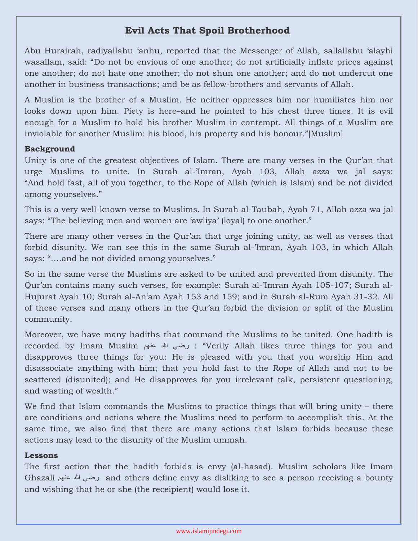# **Evil Acts That Spoil Brotherhood**

Abu Hurairah, radiyallahu 'anhu, reported that the Messenger of Allah, sallallahu 'alayhi wasallam, said: "Do not be envious of one another; do not artificially inflate prices against one another; do not hate one another; do not shun one another; and do not undercut one another in business transactions; and be as fellow-brothers and servants of Allah.

A Muslim is the brother of a Muslim. He neither oppresses him nor humiliates him nor looks down upon him. Piety is here–and he pointed to his chest three times. It is evil enough for a Muslim to hold his brother Muslim in contempt. All things of a Muslim are inviolable for another Muslim: his blood, his property and his honour."[Muslim]

### **Background**

Unity is one of the greatest objectives of Islam. There are many verses in the Qur'an that urge Muslims to unite. In Surah al-'Imran, Ayah 103, Allah azza wa jal says: "And hold fast, all of you together, to the Rope of Allah (which is Islam) and be not divided among yourselves."

This is a very well-known verse to Muslims. In Surah al-Taubah, Ayah 71, Allah azza wa jal says: "The believing men and women are 'awliya' (loyal) to one another."

There are many other verses in the Qur'an that urge joining unity, as well as verses that forbid disunity. We can see this in the same Surah al-'Imran, Ayah 103, in which Allah says: "….and be not divided among yourselves."

So in the same verse the Muslims are asked to be united and prevented from disunity. The Qur'an contains many such verses, for example: Surah al-'Imran Ayah 105-107; Surah al-Hujurat Ayah 10; Surah al-An'am Ayah 153 and 159; and in Surah al-Rum Ayah 31-32. All of these verses and many others in the Qur'an forbid the division or split of the Muslim community.

Moreover, we have many hadiths that command the Muslims to be united. One hadith is recorded by Imam Muslim عنهم هللا رضي :" Verily Allah likes three things for you and disapproves three things for you: He is pleased with you that you worship Him and disassociate anything with him; that you hold fast to the Rope of Allah and not to be scattered (disunited); and He disapproves for you irrelevant talk, persistent questioning, and wasting of wealth."

We find that Islam commands the Muslims to practice things that will bring unity – there are conditions and actions where the Muslims need to perform to accomplish this. At the same time, we also find that there are many actions that Islam forbids because these actions may lead to the disunity of the Muslim ummah.

#### **Lessons**

The first action that the hadith forbids is envy (al-hasad). Muslim scholars like Imam Ghazali عنهم هللا رضي and others define envy as disliking to see a person receiving a bounty and wishing that he or she (the receipient) would lose it.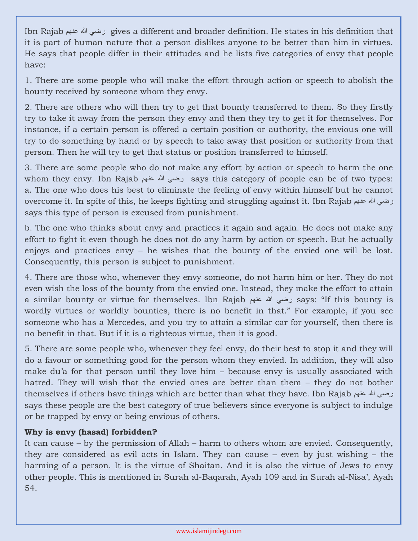Ibn Rajab عنهم هللا رضي gives a different and broader definition. He states in his definition that it is part of human nature that a person dislikes anyone to be better than him in virtues. He says that people differ in their attitudes and he lists five categories of envy that people have:

1. There are some people who will make the effort through action or speech to abolish the bounty received by someone whom they envy.

2. There are others who will then try to get that bounty transferred to them. So they firstly try to take it away from the person they envy and then they try to get it for themselves. For instance, if a certain person is offered a certain position or authority, the envious one will try to do something by hand or by speech to take away that position or authority from that person. Then he will try to get that status or position transferred to himself.

3. There are some people who do not make any effort by action or speech to harm the one whom they envy. Ibn Rajab عنهم هللا رضي says this category of people can be of two types: a. The one who does his best to eliminate the feeling of envy within himself but he cannot overcome it. In spite of this, he keeps fighting and struggling against it. Ibn Rajab عنهم هللا رضي says this type of person is excused from punishment.

b. The one who thinks about envy and practices it again and again. He does not make any effort to fight it even though he does not do any harm by action or speech. But he actually enjoys and practices envy – he wishes that the bounty of the envied one will be lost. Consequently, this person is subject to punishment.

4. There are those who, whenever they envy someone, do not harm him or her. They do not even wish the loss of the bounty from the envied one. Instead, they make the effort to attain a similar bounty or virtue for themselves. Ibn Rajab عنهم هللا رضي says: "If this bounty is wordly virtues or worldly bounties, there is no benefit in that." For example, if you see someone who has a Mercedes, and you try to attain a similar car for yourself, then there is no benefit in that. But if it is a righteous virtue, then it is good.

5. There are some people who, whenever they feel envy, do their best to stop it and they will do a favour or something good for the person whom they envied. In addition, they will also make du'a for that person until they love him – because envy is usually associated with hatred. They will wish that the envied ones are better than them – they do not bother themselves if others have things which are better than what they have. Ibn Rajab عنهم هللا رضي says these people are the best category of true believers since everyone is subject to indulge or be trapped by envy or being envious of others.

## **Why is envy (hasad) forbidden?**

It can cause – by the permission of Allah – harm to others whom are envied. Consequently, they are considered as evil acts in Islam. They can cause – even by just wishing – the harming of a person. It is the virtue of Shaitan. And it is also the virtue of Jews to envy other people. This is mentioned in Surah al-Baqarah, Ayah 109 and in Surah al-Nisa', Ayah 54.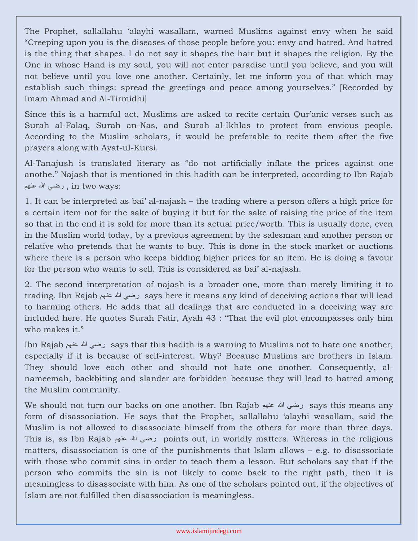The Prophet, sallallahu 'alayhi wasallam, warned Muslims against envy when he said "Creeping upon you is the diseases of those people before you: envy and hatred. And hatred is the thing that shapes. I do not say it shapes the hair but it shapes the religion. By the One in whose Hand is my soul, you will not enter paradise until you believe, and you will not believe until you love one another. Certainly, let me inform you of that which may establish such things: spread the greetings and peace among yourselves." [Recorded by Imam Ahmad and Al-Tirmidhi]

Since this is a harmful act, Muslims are asked to recite certain Qur'anic verses such as Surah al-Falaq, Surah an-Nas, and Surah al-Ikhlas to protect from envious people. According to the Muslim scholars, it would be preferable to recite them after the five prayers along with Ayat-ul-Kursi.

Al-Tanajush is translated literary as "do not artificially inflate the prices against one anothe." Najash that is mentioned in this hadith can be interpreted, according to Ibn Rajab .in two ways , رضي الله عنهم

1. It can be interpreted as bai' al-najash – the trading where a person offers a high price for a certain item not for the sake of buying it but for the sake of raising the price of the item so that in the end it is sold for more than its actual price/worth. This is usually done, even in the Muslim world today, by a previous agreement by the salesman and another person or relative who pretends that he wants to buy. This is done in the stock market or auctions where there is a person who keeps bidding higher prices for an item. He is doing a favour for the person who wants to sell. This is considered as bai' al-najash.

2. The second interpretation of najash is a broader one, more than merely limiting it to trading. Ibn Rajab عنهم هللا رضي says here it means any kind of deceiving actions that will lead to harming others. He adds that all dealings that are conducted in a deceiving way are included here. He quotes Surah Fatir, Ayah 43 : "That the evil plot encompasses only him who makes it."

Ibn Rajab عنهم هللا رضي says that this hadith is a warning to Muslims not to hate one another, especially if it is because of self-interest. Why? Because Muslims are brothers in Islam. They should love each other and should not hate one another. Consequently, alnameemah, backbiting and slander are forbidden because they will lead to hatred among the Muslim community.

We should not turn our backs on one another. Ibn Rajab عنهم هللا رضي says this means any form of disassociation. He says that the Prophet, sallallahu 'alayhi wasallam, said the Muslim is not allowed to disassociate himself from the others for more than three days. This is, as Ibn Rajab عنهم هللا رضي points out, in worldly matters. Whereas in the religious matters, disassociation is one of the punishments that Islam allows – e.g. to disassociate with those who commit sins in order to teach them a lesson. But scholars say that if the person who commits the sin is not likely to come back to the right path, then it is meaningless to disassociate with him. As one of the scholars pointed out, if the objectives of Islam are not fulfilled then disassociation is meaningless.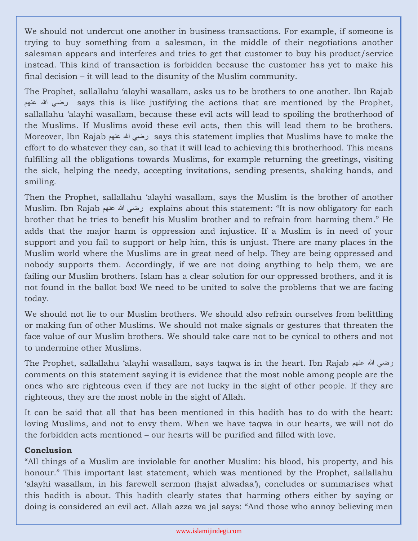We should not undercut one another in business transactions. For example, if someone is trying to buy something from a salesman, in the middle of their negotiations another salesman appears and interferes and tries to get that customer to buy his product/service instead. This kind of transaction is forbidden because the customer has yet to make his final decision – it will lead to the disunity of the Muslim community.

The Prophet, sallallahu 'alayhi wasallam, asks us to be brothers to one another. Ibn Rajab عنهم هللا رضي says this is like justifying the actions that are mentioned by the Prophet, sallallahu 'alayhi wasallam, because these evil acts will lead to spoiling the brotherhood of the Muslims. If Muslims avoid these evil acts, then this will lead them to be brothers. Moreover, Ibn Rajab عنهم هللا رضي says this statement implies that Muslims have to make the effort to do whatever they can, so that it will lead to achieving this brotherhood. This means fulfilling all the obligations towards Muslims, for example returning the greetings, visiting the sick, helping the needy, accepting invitations, sending presents, shaking hands, and smiling.

Then the Prophet, sallallahu 'alayhi wasallam, says the Muslim is the brother of another Muslim. Ibn Rajab عنهم هللا رضي explains about this statement: "It is now obligatory for each brother that he tries to benefit his Muslim brother and to refrain from harming them." He adds that the major harm is oppression and injustice. If a Muslim is in need of your support and you fail to support or help him, this is unjust. There are many places in the Muslim world where the Muslims are in great need of help. They are being oppressed and nobody supports them. Accordingly, if we are not doing anything to help them, we are failing our Muslim brothers. Islam has a clear solution for our oppressed brothers, and it is not found in the ballot box! We need to be united to solve the problems that we are facing today.

We should not lie to our Muslim brothers. We should also refrain ourselves from belittling or making fun of other Muslims. We should not make signals or gestures that threaten the face value of our Muslim brothers. We should take care not to be cynical to others and not to undermine other Muslims.

The Prophet, sallallahu 'alayhi wasallam, says taqwa is in the heart. Ibn Rajab عنهم هللا رضي comments on this statement saying it is evidence that the most noble among people are the ones who are righteous even if they are not lucky in the sight of other people. If they are righteous, they are the most noble in the sight of Allah.

It can be said that all that has been mentioned in this hadith has to do with the heart: loving Muslims, and not to envy them. When we have taqwa in our hearts, we will not do the forbidden acts mentioned – our hearts will be purified and filled with love.

## **Conclusion**

"All things of a Muslim are inviolable for another Muslim: his blood, his property, and his honour." This important last statement, which was mentioned by the Prophet, sallallahu 'alayhi wasallam, in his farewell sermon (hajat alwadaa'), concludes or summarises what this hadith is about. This hadith clearly states that harming others either by saying or doing is considered an evil act. Allah azza wa jal says: "And those who annoy believing men